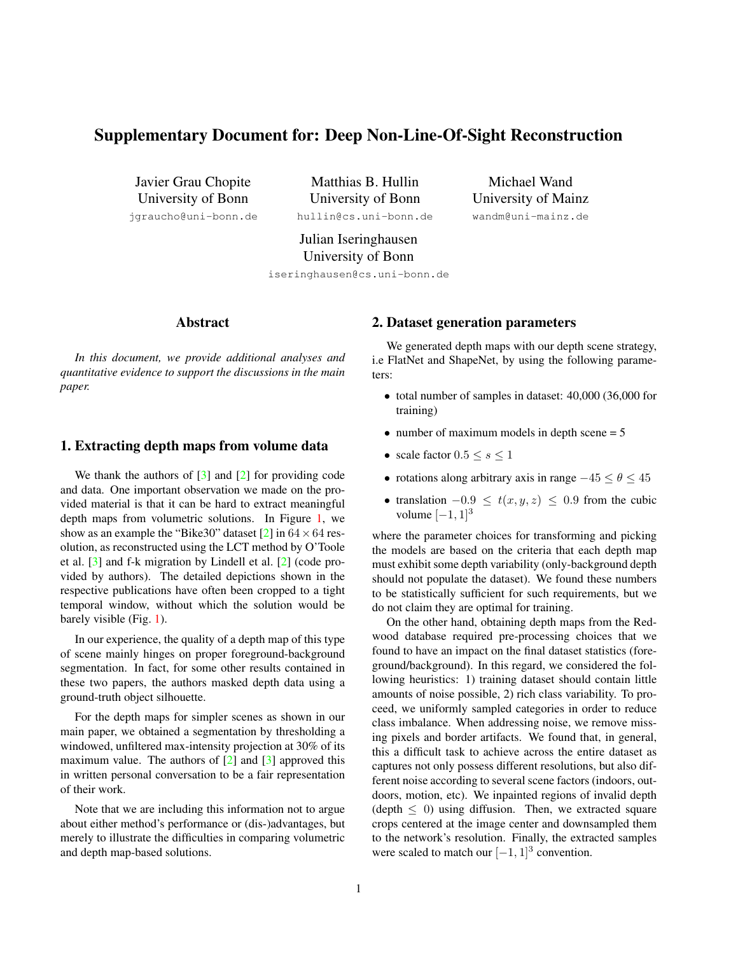# <span id="page-0-0"></span>Supplementary Document for: Deep Non-Line-Of-Sight Reconstruction

Javier Grau Chopite University of Bonn

jgraucho@uni-bonn.de

Matthias B. Hullin University of Bonn hullin@cs.uni-bonn.de

Michael Wand University of Mainz wandm@uni-mainz.de

Julian Iseringhausen University of Bonn

iseringhausen@cs.uni-bonn.de

### Abstract

*In this document, we provide additional analyses and quantitative evidence to support the discussions in the main paper.*

### 1. Extracting depth maps from volume data

We thank the authors of  $[3]$  and  $[2]$  for providing code and data. One important observation we made on the provided material is that it can be hard to extract meaningful depth maps from volumetric solutions. In Figure [1,](#page-1-0) we show as an example the "Bike30" dataset [\[2\]](#page-2-1) in  $64 \times 64$  resolution, as reconstructed using the LCT method by O'Toole et al. [\[3\]](#page-2-0) and f-k migration by Lindell et al. [\[2\]](#page-2-1) (code provided by authors). The detailed depictions shown in the respective publications have often been cropped to a tight temporal window, without which the solution would be barely visible (Fig. [1\)](#page-1-0).

In our experience, the quality of a depth map of this type of scene mainly hinges on proper foreground-background segmentation. In fact, for some other results contained in these two papers, the authors masked depth data using a ground-truth object silhouette.

For the depth maps for simpler scenes as shown in our main paper, we obtained a segmentation by thresholding a windowed, unfiltered max-intensity projection at 30% of its maximum value. The authors of  $[2]$  and  $[3]$  approved this in written personal conversation to be a fair representation of their work.

Note that we are including this information not to argue about either method's performance or (dis-)advantages, but merely to illustrate the difficulties in comparing volumetric and depth map-based solutions.

#### 2. Dataset generation parameters

We generated depth maps with our depth scene strategy, i.e FlatNet and ShapeNet, by using the following parameters:

- total number of samples in dataset: 40,000 (36,000 for training)
- number of maximum models in depth scene  $= 5$
- scale factor  $0.5 \leq s \leq 1$
- rotations along arbitrary axis in range  $-45 \le \theta \le 45$
- translation  $-0.9 \le t(x, y, z) \le 0.9$  from the cubic volume  $[-1, 1]^3$

where the parameter choices for transforming and picking the models are based on the criteria that each depth map must exhibit some depth variability (only-background depth should not populate the dataset). We found these numbers to be statistically sufficient for such requirements, but we do not claim they are optimal for training.

On the other hand, obtaining depth maps from the Redwood database required pre-processing choices that we found to have an impact on the final dataset statistics (foreground/background). In this regard, we considered the following heuristics: 1) training dataset should contain little amounts of noise possible, 2) rich class variability. To proceed, we uniformly sampled categories in order to reduce class imbalance. When addressing noise, we remove missing pixels and border artifacts. We found that, in general, this a difficult task to achieve across the entire dataset as captures not only possess different resolutions, but also different noise according to several scene factors (indoors, outdoors, motion, etc). We inpainted regions of invalid depth (depth  $\leq$  0) using diffusion. Then, we extracted square crops centered at the image center and downsampled them to the network's resolution. Finally, the extracted samples were scaled to match our  $[-1, 1]^3$  convention.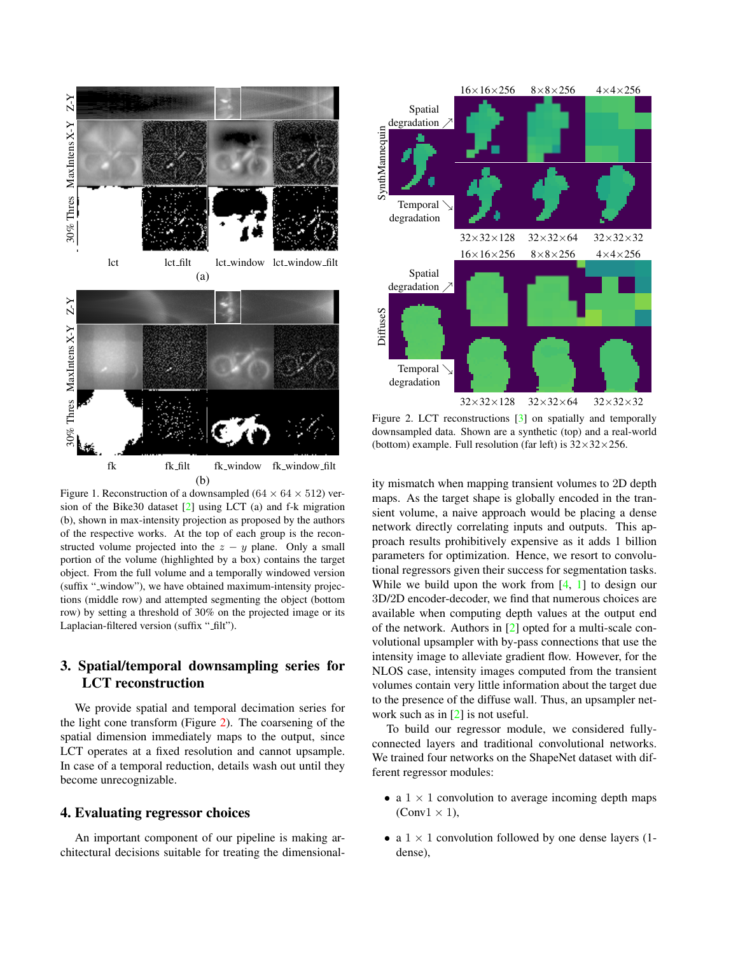<span id="page-1-2"></span>

<span id="page-1-0"></span>Figure 1. Reconstruction of a downsampled ( $64 \times 64 \times 512$ ) version of the Bike30 dataset [\[2\]](#page-2-1) using LCT (a) and f-k migration (b), shown in max-intensity projection as proposed by the authors of the respective works. At the top of each group is the reconstructed volume projected into the  $z - y$  plane. Only a small portion of the volume (highlighted by a box) contains the target object. From the full volume and a temporally windowed version (suffix "-window"), we have obtained maximum-intensity projections (middle row) and attempted segmenting the object (bottom row) by setting a threshold of 30% on the projected image or its Laplacian-filtered version (suffix "\_filt").

# 3. Spatial/temporal downsampling series for LCT reconstruction

We provide spatial and temporal decimation series for the light cone transform (Figure [2\)](#page-1-1). The coarsening of the spatial dimension immediately maps to the output, since LCT operates at a fixed resolution and cannot upsample. In case of a temporal reduction, details wash out until they become unrecognizable.

#### 4. Evaluating regressor choices

An important component of our pipeline is making architectural decisions suitable for treating the dimensional-



<span id="page-1-1"></span>Figure 2. LCT reconstructions [\[3\]](#page-2-0) on spatially and temporally downsampled data. Shown are a synthetic (top) and a real-world (bottom) example. Full resolution (far left) is  $32 \times 32 \times 256$ .

ity mismatch when mapping transient volumes to 2D depth maps. As the target shape is globally encoded in the transient volume, a naive approach would be placing a dense network directly correlating inputs and outputs. This approach results prohibitively expensive as it adds 1 billion parameters for optimization. Hence, we resort to convolutional regressors given their success for segmentation tasks. While we build upon the work from [\[4,](#page-2-2) [1\]](#page-2-3) to design our 3D/2D encoder-decoder, we find that numerous choices are available when computing depth values at the output end of the network. Authors in [\[2\]](#page-2-1) opted for a multi-scale convolutional upsampler with by-pass connections that use the intensity image to alleviate gradient flow. However, for the NLOS case, intensity images computed from the transient volumes contain very little information about the target due to the presence of the diffuse wall. Thus, an upsampler network such as in [\[2\]](#page-2-1) is not useful.

To build our regressor module, we considered fullyconnected layers and traditional convolutional networks. We trained four networks on the ShapeNet dataset with different regressor modules:

- a  $1 \times 1$  convolution to average incoming depth maps  $(Conv1 \times 1)$ ,
- a  $1 \times 1$  convolution followed by one dense layers (1dense),